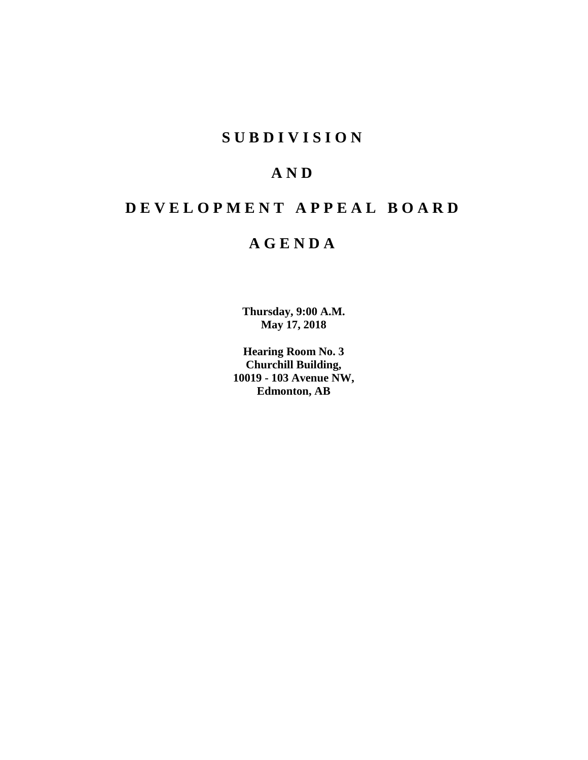# **SUBDIVISION**

# **AND**

# **DEVELOPMENT APPEAL BOARD**

# **AGENDA**

**Thursday, 9:00 A.M. May 17, 2018**

**Hearing Room No. 3 Churchill Building, 10019 - 103 Avenue NW, Edmonton, AB**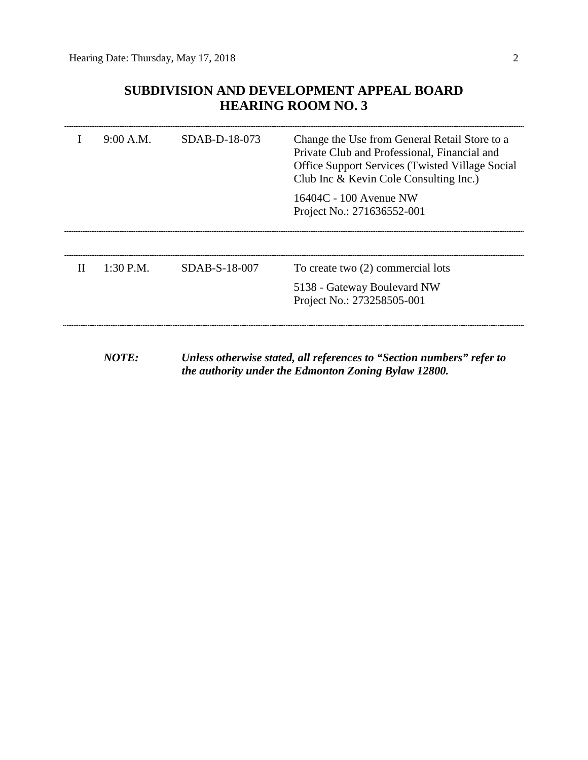# **SUBDIVISION AND DEVELOPMENT APPEAL BOARD HEARING ROOM NO. 3**

|   | 9:00 A.M.   | SDAB-D-18-073 | Change the Use from General Retail Store to a<br>Private Club and Professional, Financial and<br><b>Office Support Services (Twisted Village Social</b><br>Club Inc & Kevin Cole Consulting Inc.) |
|---|-------------|---------------|---------------------------------------------------------------------------------------------------------------------------------------------------------------------------------------------------|
|   |             |               | 16404C - 100 Avenue NW<br>Project No.: 271636552-001                                                                                                                                              |
|   |             |               |                                                                                                                                                                                                   |
| H | $1:30$ P.M. | SDAB-S-18-007 | To create two (2) commercial lots                                                                                                                                                                 |
|   |             |               | 5138 - Gateway Boulevard NW<br>Project No.: 273258505-001                                                                                                                                         |
|   |             |               |                                                                                                                                                                                                   |

*NOTE: Unless otherwise stated, all references to "Section numbers" refer to the authority under the Edmonton Zoning Bylaw 12800.*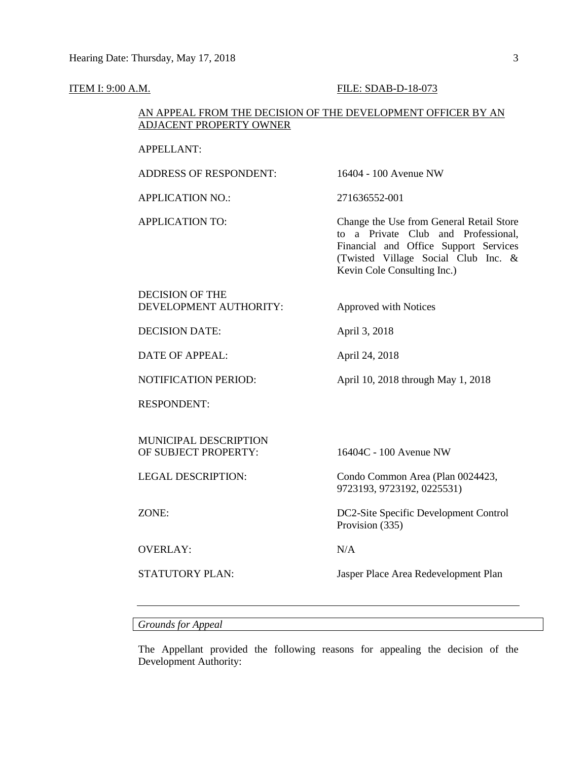#### **ITEM I: 9:00 A.M. FILE: SDAB-D-18-073**

## AN APPEAL FROM THE DECISION OF THE DEVELOPMENT OFFICER BY AN ADJACENT PROPERTY OWNER

#### APPELLANT:

ADDRESS OF RESPONDENT: 16404 - 100 Avenue NW APPLICATION NO.: 271636552-001 APPLICATION TO: Change the Use from General Retail Store to a Private Club and Professional, Financial and Office Support Services (Twisted Village Social Club Inc. & Kevin Cole Consulting Inc.) DECISION OF THE DEVELOPMENT AUTHORITY: Approved with Notices DECISION DATE: April 3, 2018 DATE OF APPEAL: April 24, 2018 NOTIFICATION PERIOD: April 10, 2018 through May 1, 2018 RESPONDENT: MUNICIPAL DESCRIPTION OF SUBJECT PROPERTY: 16404C - 100 Avenue NW LEGAL DESCRIPTION: Condo Common Area (Plan 0024423, 9723193, 9723192, 0225531) ZONE: DC2-Site Specific Development Control Provision (335) OVERLAY: N/A STATUTORY PLAN: Jasper Place Area Redevelopment Plan

## *Grounds for Appeal*

The Appellant provided the following reasons for appealing the decision of the Development Authority: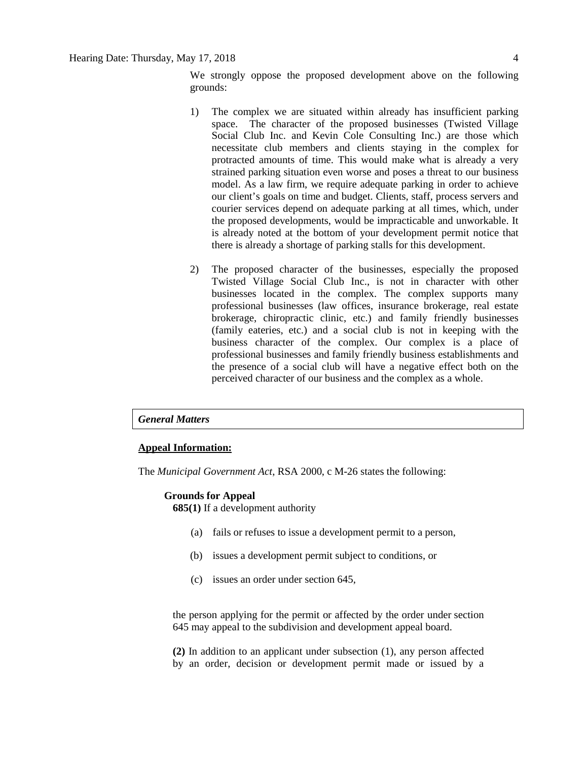We strongly oppose the proposed development above on the following grounds:

- 1) The complex we are situated within already has insufficient parking space. The character of the proposed businesses (Twisted Village Social Club Inc. and Kevin Cole Consulting Inc.) are those which necessitate club members and clients staying in the complex for protracted amounts of time. This would make what is already a very strained parking situation even worse and poses a threat to our business model. As a law firm, we require adequate parking in order to achieve our client's goals on time and budget. Clients, staff, process servers and courier services depend on adequate parking at all times, which, under the proposed developments, would be impracticable and unworkable. It is already noted at the bottom of your development permit notice that there is already a shortage of parking stalls for this development.
- 2) The proposed character of the businesses, especially the proposed Twisted Village Social Club Inc., is not in character with other businesses located in the complex. The complex supports many professional businesses (law offices, insurance brokerage, real estate brokerage, chiropractic clinic, etc.) and family friendly businesses (family eateries, etc.) and a social club is not in keeping with the business character of the complex. Our complex is a place of professional businesses and family friendly business establishments and the presence of a social club will have a negative effect both on the perceived character of our business and the complex as a whole.

#### *General Matters*

#### **Appeal Information:**

The *Municipal Government Act*, RSA 2000, c M-26 states the following:

#### **Grounds for Appeal**

**685(1)** If a development authority

- (a) fails or refuses to issue a development permit to a person,
- (b) issues a development permit subject to conditions, or
- (c) issues an order under section 645,

the person applying for the permit or affected by the order under section 645 may appeal to the subdivision and development appeal board.

**(2)** In addition to an applicant under subsection (1), any person affected by an order, decision or development permit made or issued by a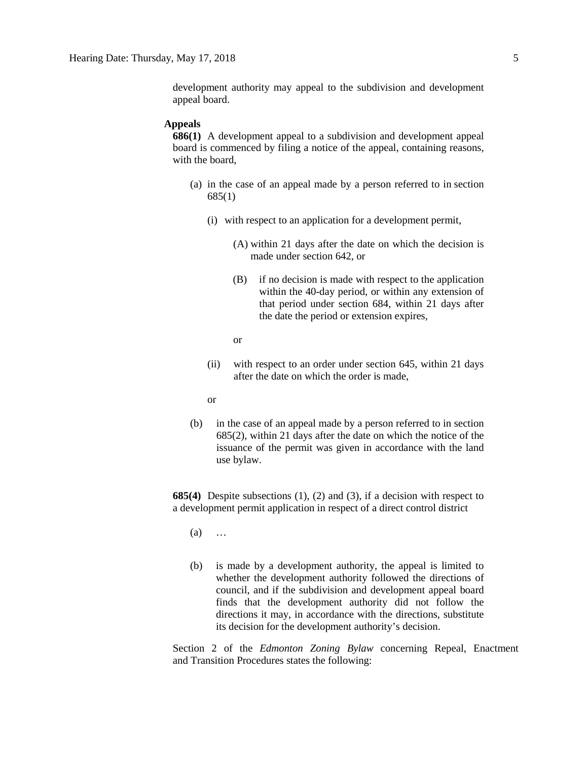development authority may appeal to the subdivision and development appeal board.

#### **Appeals**

**686(1)** A development appeal to a subdivision and development appeal board is commenced by filing a notice of the appeal, containing reasons, with the board,

- (a) in the case of an appeal made by a person referred to in section 685(1)
	- (i) with respect to an application for a development permit,
		- (A) within 21 days after the date on which the decision is made under section 642, or
		- (B) if no decision is made with respect to the application within the 40-day period, or within any extension of that period under section 684, within 21 days after the date the period or extension expires,
		- or
	- (ii) with respect to an order under section 645, within 21 days after the date on which the order is made,
	- or
- (b) in the case of an appeal made by a person referred to in section 685(2), within 21 days after the date on which the notice of the issuance of the permit was given in accordance with the land use bylaw.

**685(4)** Despite subsections (1), (2) and (3), if a decision with respect to a development permit application in respect of a direct control district

- (a) …
- (b) is made by a development authority, the appeal is limited to whether the development authority followed the directions of council, and if the subdivision and development appeal board finds that the development authority did not follow the directions it may, in accordance with the directions, substitute its decision for the development authority's decision.

Section 2 of the *Edmonton Zoning Bylaw* concerning Repeal, Enactment and Transition Procedures states the following: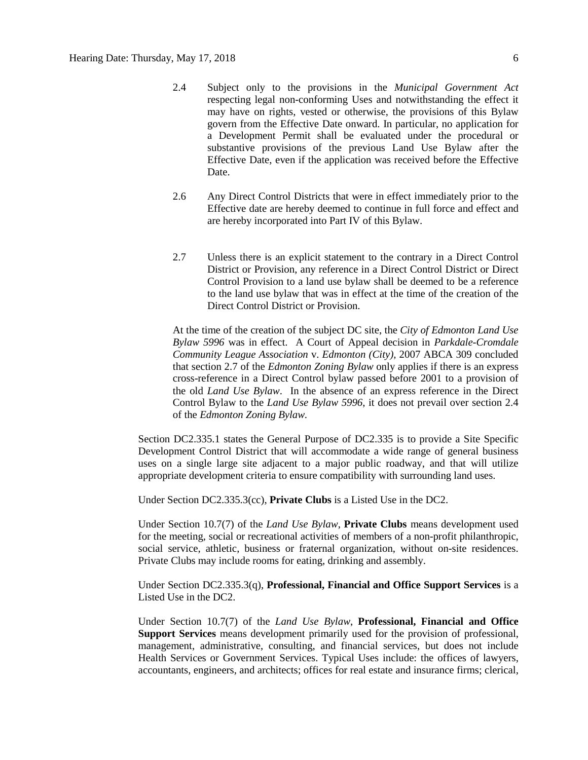- 2.4 Subject only to the provisions in the *Municipal Government Act* respecting legal non-conforming Uses and notwithstanding the effect it may have on rights, vested or otherwise, the provisions of this Bylaw govern from the Effective Date onward. In particular, no application for a Development Permit shall be evaluated under the procedural or substantive provisions of the previous Land Use Bylaw after the Effective Date, even if the application was received before the Effective Date.
- 2.6 Any Direct Control Districts that were in effect immediately prior to the Effective date are hereby deemed to continue in full force and effect and are hereby incorporated into Part IV of this Bylaw.
- 2.7 Unless there is an explicit statement to the contrary in a Direct Control District or Provision, any reference in a Direct Control District or Direct Control Provision to a land use bylaw shall be deemed to be a reference to the land use bylaw that was in effect at the time of the creation of the Direct Control District or Provision.

At the time of the creation of the subject DC site, the *City of Edmonton Land Use Bylaw 5996* was in effect. A Court of Appeal decision in *Parkdale-Cromdale Community League Association* v. *Edmonton (City),* 2007 ABCA 309 concluded that section 2.7 of the *Edmonton Zoning Bylaw* only applies if there is an express cross-reference in a Direct Control bylaw passed before 2001 to a provision of the old *Land Use Bylaw*. In the absence of an express reference in the Direct Control Bylaw to the *Land Use Bylaw 5996*, it does not prevail over section 2.4 of the *Edmonton Zoning Bylaw.*

Section DC2.335.1 states the General Purpose of DC2.335 is to provide a Site Specific Development Control District that will accommodate a wide range of general business uses on a single large site adjacent to a major public roadway, and that will utilize appropriate development criteria to ensure compatibility with surrounding land uses.

Under Section DC2.335.3(cc), **Private Clubs** is a Listed Use in the DC2.

Under Section 10.7(7) of the *Land Use Bylaw*, **Private Clubs** means development used for the meeting, social or recreational activities of members of a non-profit philanthropic, social service, athletic, business or fraternal organization, without on-site residences. Private Clubs may include rooms for eating, drinking and assembly.

Under Section DC2.335.3(q), **Professional, Financial and Office Support Services** is a Listed Use in the DC2.

Under Section 10.7(7) of the *Land Use Bylaw*, **Professional, Financial and Office Support Services** means development primarily used for the provision of professional, management, administrative, consulting, and financial services, but does not include Health Services or Government Services. Typical Uses include: the offices of lawyers, accountants, engineers, and architects; offices for real estate and insurance firms; clerical,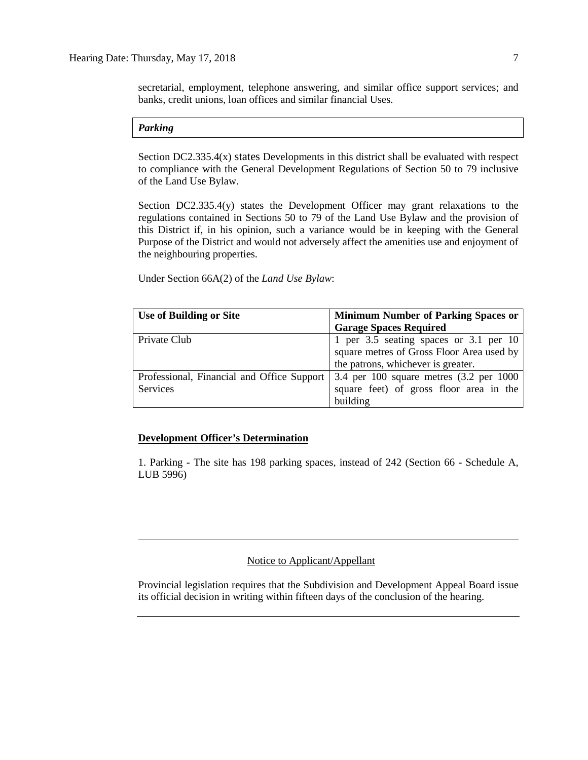secretarial, employment, telephone answering, and similar office support services; and banks, credit unions, loan offices and similar financial Uses.

#### *Parking*

Section DC2.335.4(x) states Developments in this district shall be evaluated with respect to compliance with the General Development Regulations of Section 50 to 79 inclusive of the Land Use Bylaw.

Section DC2.335.4(y) states the Development Officer may grant relaxations to the regulations contained in Sections 50 to 79 of the Land Use Bylaw and the provision of this District if, in his opinion, such a variance would be in keeping with the General Purpose of the District and would not adversely affect the amenities use and enjoyment of the neighbouring properties.

Under Section 66A(2) of the *Land Use Bylaw*:

| <b>Use of Building or Site</b>             | <b>Minimum Number of Parking Spaces or</b> |
|--------------------------------------------|--------------------------------------------|
|                                            | <b>Garage Spaces Required</b>              |
| Private Club                               | 1 per 3.5 seating spaces or 3.1 per 10     |
|                                            | square metres of Gross Floor Area used by  |
|                                            | the patrons, whichever is greater.         |
| Professional, Financial and Office Support | 3.4 per 100 square metres (3.2 per 1000    |
| Services                                   | square feet) of gross floor area in the    |
|                                            | building                                   |

#### **Development Officer's Determination**

1. Parking - The site has 198 parking spaces, instead of 242 (Section 66 - Schedule A, LUB 5996)

## Notice to Applicant/Appellant

Provincial legislation requires that the Subdivision and Development Appeal Board issue its official decision in writing within fifteen days of the conclusion of the hearing.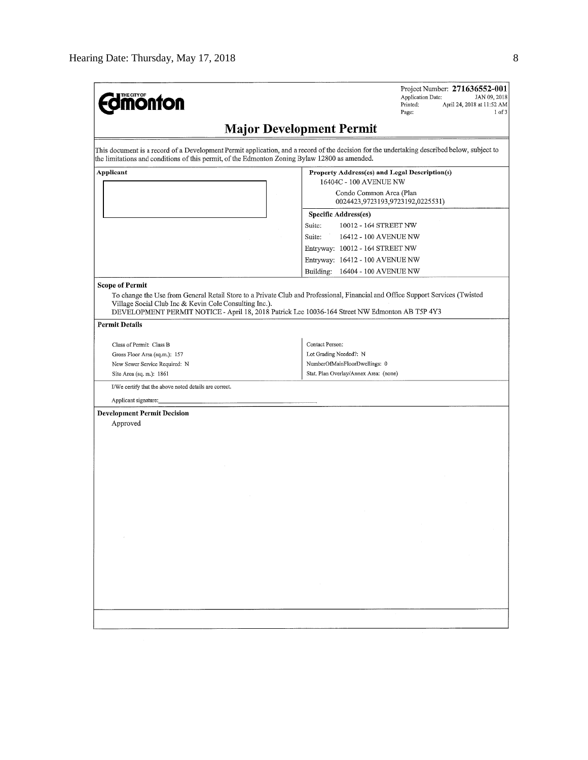| <b><i><u><u>monton</u></u></i></b>                                                                                                                                                                                                                                                                                   |                                                                         | Project Number: 271636552-001<br><b>Application Date:</b><br>JAN 09, 2018<br>Printed:<br>April 24, 2018 at 11:52 AM<br>Page:<br>$1$ of $3$ |
|----------------------------------------------------------------------------------------------------------------------------------------------------------------------------------------------------------------------------------------------------------------------------------------------------------------------|-------------------------------------------------------------------------|--------------------------------------------------------------------------------------------------------------------------------------------|
|                                                                                                                                                                                                                                                                                                                      | <b>Major Development Permit</b>                                         |                                                                                                                                            |
| This document is a record of a Development Permit application, and a record of the decision for the undertaking described below, subject to<br>the limitations and conditions of this permit, of the Edmonton Zoning Bylaw 12800 as amended.                                                                         |                                                                         |                                                                                                                                            |
| Applicant                                                                                                                                                                                                                                                                                                            | Property Address(es) and Legal Description(s)<br>16404C - 100 AVENUE NW |                                                                                                                                            |
|                                                                                                                                                                                                                                                                                                                      | Condo Common Area (Plan<br>0024423,9723193,9723192,0225531)             |                                                                                                                                            |
|                                                                                                                                                                                                                                                                                                                      | Specific Address(es)                                                    |                                                                                                                                            |
|                                                                                                                                                                                                                                                                                                                      | Suite:<br>10012 - 164 STREET NW                                         |                                                                                                                                            |
|                                                                                                                                                                                                                                                                                                                      | Suite:<br>16412 - 100 AVENUE NW                                         |                                                                                                                                            |
|                                                                                                                                                                                                                                                                                                                      |                                                                         |                                                                                                                                            |
|                                                                                                                                                                                                                                                                                                                      | Entryway: 10012 - 164 STREET NW                                         |                                                                                                                                            |
|                                                                                                                                                                                                                                                                                                                      | Entryway: 16412 - 100 AVENUE NW                                         |                                                                                                                                            |
|                                                                                                                                                                                                                                                                                                                      | Building: 16404 - 100 AVENUE NW                                         |                                                                                                                                            |
| <b>Scope of Permit</b><br>To change the Use from General Retail Store to a Private Club and Professional, Financial and Office Support Services (Twisted<br>Village Social Club Inc & Kevin Cole Consulting Inc.).<br>DEVELOPMENT PERMIT NOTICE - April 18, 2018 Patrick Lee 10036-164 Street NW Edmonton AB T5P 4Y3 |                                                                         |                                                                                                                                            |
| <b>Permit Details</b>                                                                                                                                                                                                                                                                                                |                                                                         |                                                                                                                                            |
| Class of Permit: Class B                                                                                                                                                                                                                                                                                             | Contact Person:                                                         |                                                                                                                                            |
| Gross Floor Area (sq.m.): 157                                                                                                                                                                                                                                                                                        | Lot Grading Needed?: N                                                  |                                                                                                                                            |
| New Sewer Service Required: N                                                                                                                                                                                                                                                                                        | NumberOfMainFloorDwellings: 0                                           |                                                                                                                                            |
| Site Area (sq. m.): 1861                                                                                                                                                                                                                                                                                             | Stat. Plan Overlay/Annex Area: (none)                                   |                                                                                                                                            |
| I/We certify that the above noted details are correct.                                                                                                                                                                                                                                                               |                                                                         |                                                                                                                                            |
| Applicant signature:                                                                                                                                                                                                                                                                                                 |                                                                         |                                                                                                                                            |
| <b>Development Permit Decision</b>                                                                                                                                                                                                                                                                                   |                                                                         |                                                                                                                                            |
| Approved                                                                                                                                                                                                                                                                                                             |                                                                         |                                                                                                                                            |
|                                                                                                                                                                                                                                                                                                                      |                                                                         |                                                                                                                                            |
|                                                                                                                                                                                                                                                                                                                      |                                                                         |                                                                                                                                            |
|                                                                                                                                                                                                                                                                                                                      |                                                                         |                                                                                                                                            |
|                                                                                                                                                                                                                                                                                                                      |                                                                         |                                                                                                                                            |
|                                                                                                                                                                                                                                                                                                                      |                                                                         |                                                                                                                                            |
|                                                                                                                                                                                                                                                                                                                      |                                                                         |                                                                                                                                            |
|                                                                                                                                                                                                                                                                                                                      |                                                                         |                                                                                                                                            |
|                                                                                                                                                                                                                                                                                                                      |                                                                         |                                                                                                                                            |
|                                                                                                                                                                                                                                                                                                                      |                                                                         |                                                                                                                                            |
|                                                                                                                                                                                                                                                                                                                      |                                                                         |                                                                                                                                            |
|                                                                                                                                                                                                                                                                                                                      |                                                                         |                                                                                                                                            |
|                                                                                                                                                                                                                                                                                                                      |                                                                         |                                                                                                                                            |
|                                                                                                                                                                                                                                                                                                                      |                                                                         |                                                                                                                                            |
|                                                                                                                                                                                                                                                                                                                      |                                                                         |                                                                                                                                            |
|                                                                                                                                                                                                                                                                                                                      |                                                                         |                                                                                                                                            |
|                                                                                                                                                                                                                                                                                                                      |                                                                         |                                                                                                                                            |
|                                                                                                                                                                                                                                                                                                                      |                                                                         |                                                                                                                                            |
|                                                                                                                                                                                                                                                                                                                      |                                                                         |                                                                                                                                            |
|                                                                                                                                                                                                                                                                                                                      |                                                                         |                                                                                                                                            |
|                                                                                                                                                                                                                                                                                                                      |                                                                         |                                                                                                                                            |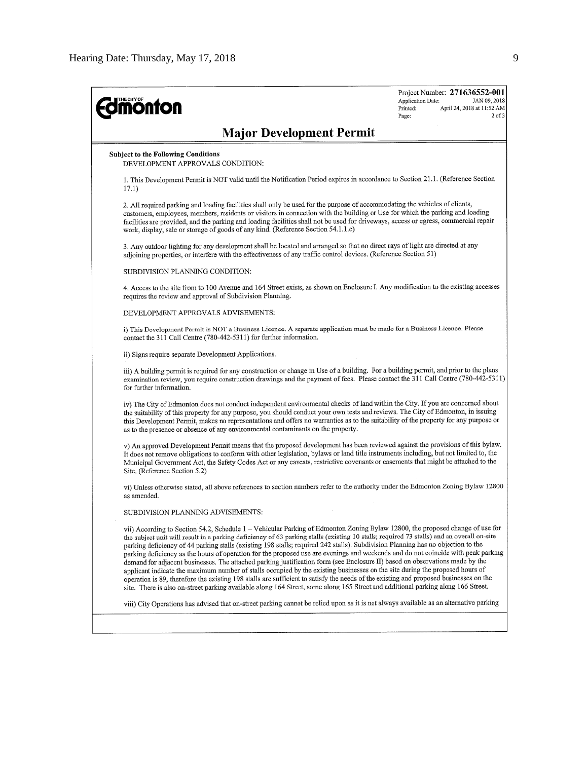| <b>monton</b>                                                                                                                                                                                                                                                                                                                                                                                                                                                                                                                                                                                                                                                                                                                                                                                                                                                                                                                                                                                                                                                                                    | Project Number: 271636552-001<br>Application Date:<br>JAN 09, 2018<br>Printed:<br>April 24, 2018 at 11:52 AM<br>$2$ of $3$<br>Page: |
|--------------------------------------------------------------------------------------------------------------------------------------------------------------------------------------------------------------------------------------------------------------------------------------------------------------------------------------------------------------------------------------------------------------------------------------------------------------------------------------------------------------------------------------------------------------------------------------------------------------------------------------------------------------------------------------------------------------------------------------------------------------------------------------------------------------------------------------------------------------------------------------------------------------------------------------------------------------------------------------------------------------------------------------------------------------------------------------------------|-------------------------------------------------------------------------------------------------------------------------------------|
| <b>Major Development Permit</b>                                                                                                                                                                                                                                                                                                                                                                                                                                                                                                                                                                                                                                                                                                                                                                                                                                                                                                                                                                                                                                                                  |                                                                                                                                     |
| <b>Subject to the Following Conditions</b><br>DEVELOPMENT APPROVALS CONDITION:                                                                                                                                                                                                                                                                                                                                                                                                                                                                                                                                                                                                                                                                                                                                                                                                                                                                                                                                                                                                                   |                                                                                                                                     |
| 1. This Development Permit is NOT valid until the Notification Period expires in accordance to Section 21.1. (Reference Section<br>17.1)                                                                                                                                                                                                                                                                                                                                                                                                                                                                                                                                                                                                                                                                                                                                                                                                                                                                                                                                                         |                                                                                                                                     |
| 2. All required parking and loading facilities shall only be used for the purpose of accommodating the vehicles of clients,<br>customers, employees, members, residents or visitors in connection with the building or Use for which the parking and loading<br>facilities are provided, and the parking and loading facilities shall not be used for driveways, access or egress, commercial repair<br>work, display, sale or storage of goods of any kind. (Reference Section 54.1.1.c)                                                                                                                                                                                                                                                                                                                                                                                                                                                                                                                                                                                                        |                                                                                                                                     |
| 3. Any outdoor lighting for any development shall be located and arranged so that no direct rays of light are directed at any<br>adjoining properties, or interfere with the effectiveness of any traffic control devices. (Reference Section 51)                                                                                                                                                                                                                                                                                                                                                                                                                                                                                                                                                                                                                                                                                                                                                                                                                                                |                                                                                                                                     |
| SUBDIVISION PLANNING CONDITION:                                                                                                                                                                                                                                                                                                                                                                                                                                                                                                                                                                                                                                                                                                                                                                                                                                                                                                                                                                                                                                                                  |                                                                                                                                     |
| 4. Access to the site from to 100 Avenue and 164 Street exists, as shown on Enclosure I. Any modification to the existing accesses<br>requires the review and approval of Subdivision Planning.                                                                                                                                                                                                                                                                                                                                                                                                                                                                                                                                                                                                                                                                                                                                                                                                                                                                                                  |                                                                                                                                     |
| DEVELOPMENT APPROVALS ADVISEMENTS:                                                                                                                                                                                                                                                                                                                                                                                                                                                                                                                                                                                                                                                                                                                                                                                                                                                                                                                                                                                                                                                               |                                                                                                                                     |
| i) This Development Permit is NOT a Business Licence. A separate application must be made for a Business Licence. Please<br>contact the 311 Call Centre (780-442-5311) for further information.                                                                                                                                                                                                                                                                                                                                                                                                                                                                                                                                                                                                                                                                                                                                                                                                                                                                                                  |                                                                                                                                     |
| ii) Signs require separate Development Applications.                                                                                                                                                                                                                                                                                                                                                                                                                                                                                                                                                                                                                                                                                                                                                                                                                                                                                                                                                                                                                                             |                                                                                                                                     |
| iii) A building permit is required for any construction or change in Use of a building. For a building permit, and prior to the plans<br>examination review, you require construction drawings and the payment of fees. Please contact the 311 Call Centre (780-442-5311)<br>for further information.                                                                                                                                                                                                                                                                                                                                                                                                                                                                                                                                                                                                                                                                                                                                                                                            |                                                                                                                                     |
| iv) The City of Edmonton does not conduct independent environmental checks of land within the City. If you are concerned about<br>the suitability of this property for any purpose, you should conduct your own tests and reviews. The City of Edmonton, in issuing<br>this Development Permit, makes no representations and offers no warranties as to the suitability of the property for any purpose or<br>as to the presence or absence of any environmental contaminants on the property.                                                                                                                                                                                                                                                                                                                                                                                                                                                                                                                                                                                                   |                                                                                                                                     |
| v) An approved Development Permit means that the proposed development has been reviewed against the provisions of this bylaw.<br>It does not remove obligations to conform with other legislation, bylaws or land title instruments including, but not limited to, the<br>Municipal Government Act, the Safety Codes Act or any caveats, restrictive covenants or easements that might be attached to the<br>Site, (Reference Section 5.2)                                                                                                                                                                                                                                                                                                                                                                                                                                                                                                                                                                                                                                                       |                                                                                                                                     |
| vi) Unless otherwise stated, all above references to section numbers refer to the authority under the Edmonton Zoning Bylaw 12800<br>as amended.                                                                                                                                                                                                                                                                                                                                                                                                                                                                                                                                                                                                                                                                                                                                                                                                                                                                                                                                                 |                                                                                                                                     |
| SUBDIVISION PLANNING ADVISEMENTS:                                                                                                                                                                                                                                                                                                                                                                                                                                                                                                                                                                                                                                                                                                                                                                                                                                                                                                                                                                                                                                                                |                                                                                                                                     |
| vii) According to Section 54.2, Schedule 1 - Vehicular Parking of Edmonton Zoning Bylaw 12800, the proposed change of use for<br>the subject unit will result in a parking deficiency of 63 parking stalls (existing 10 stalls; required 73 stalls) and an overall on-site<br>parking deficiency of 44 parking stalls (existing 198 stalls; required 242 stalls). Subdivision Planning has no objection to the<br>parking deficiency as the hours of operation for the proposed use are evenings and weekends and do not coincide with peak parking<br>demand for adjacent businesses. The attached parking justification form (see Enclosure II) based on observations made by the<br>applicant indicate the maximum number of stalls occupied by the existing businesses on the site during the proposed hours of<br>operation is 89, therefore the existing 198 stalls are sufficient to satisfy the needs of the existing and proposed businesses on the<br>site. There is also on-street parking available along 164 Street, some along 165 Street and additional parking along 166 Street. |                                                                                                                                     |
| viii) City Operations has advised that on-street parking cannot be relied upon as it is not always available as an alternative parking                                                                                                                                                                                                                                                                                                                                                                                                                                                                                                                                                                                                                                                                                                                                                                                                                                                                                                                                                           |                                                                                                                                     |
|                                                                                                                                                                                                                                                                                                                                                                                                                                                                                                                                                                                                                                                                                                                                                                                                                                                                                                                                                                                                                                                                                                  |                                                                                                                                     |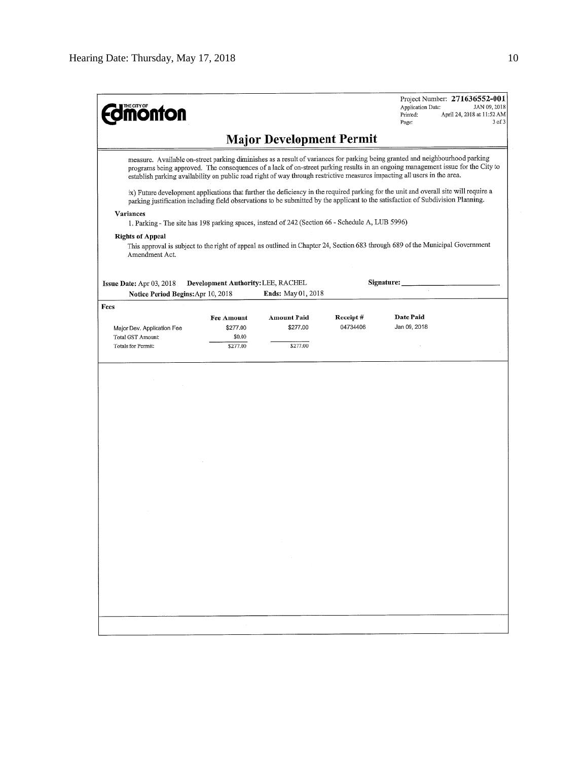**Edimonton** 

Project Number: 271636552-001 Application Date: JAN 09, 2018 April 24, 2018 at 11:52 AM Printed: 3 of 3 Page:

# **Major Development Permit**

measure. Available on-street parking diminishes as a result of variances for parking being granted and neighbourhood parking programs being approved. The consequences of a lack of on-street parking results in an ongoing management issue for the City to establish parking availability on public road right of way through restrictive measures impacting all users in the area.

ix) Future development applications that further the deficiency in the required parking for the unit and overall site will require a parking justification including field observations to be submitted by the applicant to the satisfaction of Subdivision Planning.

#### Variances

1. Parking - The site has 198 parking spaces, instead of 242 (Section 66 - Schedule A, LUB 5996)

#### **Rights of Appeal**

This approval is subject to the right of appeal as outlined in Chapter 24, Section 683 through 689 of the Municipal Government Amendment Act.

| Development Authority: LEE, RACHEL<br>Issue Date: $Apr 03, 2018$ |                   | Signature:                |          |              |  |
|------------------------------------------------------------------|-------------------|---------------------------|----------|--------------|--|
| Notice Period Begins: Apr 10, 2018                               |                   | <b>Ends:</b> May 01, 2018 |          |              |  |
| Fees                                                             |                   |                           |          |              |  |
|                                                                  | <b>Fee Amount</b> | <b>Amount Paid</b>        | Receipt# | Date Paid    |  |
| Major Dev. Application Fee                                       | \$277.00          | \$277.00                  | 04734406 | Jan 09, 2018 |  |
| Total GST Amount:                                                | \$0.00            |                           |          |              |  |
| Totals for Permit:                                               | \$277.00          | \$277.00                  |          |              |  |
|                                                                  |                   |                           |          |              |  |

| $\label{eq:2.1} \frac{1}{\sqrt{2}}\sum_{i=1}^n\frac{1}{\sqrt{2}}\sum_{i=1}^n\frac{1}{\sqrt{2}}\sum_{i=1}^n\frac{1}{\sqrt{2}}\sum_{i=1}^n\frac{1}{\sqrt{2}}\sum_{i=1}^n\frac{1}{\sqrt{2}}\sum_{i=1}^n\frac{1}{\sqrt{2}}\sum_{i=1}^n\frac{1}{\sqrt{2}}\sum_{i=1}^n\frac{1}{\sqrt{2}}\sum_{i=1}^n\frac{1}{\sqrt{2}}\sum_{i=1}^n\frac{1}{\sqrt{2}}\sum_{i=1}^n\frac$ |                                   |                                              |                                   |  |
|------------------------------------------------------------------------------------------------------------------------------------------------------------------------------------------------------------------------------------------------------------------------------------------------------------------------------------------------------------------|-----------------------------------|----------------------------------------------|-----------------------------------|--|
|                                                                                                                                                                                                                                                                                                                                                                  |                                   |                                              |                                   |  |
|                                                                                                                                                                                                                                                                                                                                                                  |                                   |                                              |                                   |  |
|                                                                                                                                                                                                                                                                                                                                                                  |                                   |                                              |                                   |  |
|                                                                                                                                                                                                                                                                                                                                                                  |                                   |                                              |                                   |  |
|                                                                                                                                                                                                                                                                                                                                                                  |                                   |                                              |                                   |  |
|                                                                                                                                                                                                                                                                                                                                                                  |                                   |                                              |                                   |  |
|                                                                                                                                                                                                                                                                                                                                                                  |                                   |                                              |                                   |  |
|                                                                                                                                                                                                                                                                                                                                                                  |                                   |                                              |                                   |  |
|                                                                                                                                                                                                                                                                                                                                                                  |                                   |                                              |                                   |  |
|                                                                                                                                                                                                                                                                                                                                                                  |                                   |                                              |                                   |  |
|                                                                                                                                                                                                                                                                                                                                                                  |                                   |                                              |                                   |  |
|                                                                                                                                                                                                                                                                                                                                                                  |                                   |                                              |                                   |  |
|                                                                                                                                                                                                                                                                                                                                                                  |                                   |                                              |                                   |  |
|                                                                                                                                                                                                                                                                                                                                                                  |                                   |                                              |                                   |  |
|                                                                                                                                                                                                                                                                                                                                                                  |                                   |                                              |                                   |  |
|                                                                                                                                                                                                                                                                                                                                                                  |                                   |                                              |                                   |  |
|                                                                                                                                                                                                                                                                                                                                                                  |                                   |                                              |                                   |  |
|                                                                                                                                                                                                                                                                                                                                                                  |                                   |                                              |                                   |  |
|                                                                                                                                                                                                                                                                                                                                                                  |                                   |                                              |                                   |  |
|                                                                                                                                                                                                                                                                                                                                                                  | the control of the control of the |                                              |                                   |  |
|                                                                                                                                                                                                                                                                                                                                                                  |                                   |                                              |                                   |  |
|                                                                                                                                                                                                                                                                                                                                                                  |                                   |                                              |                                   |  |
|                                                                                                                                                                                                                                                                                                                                                                  |                                   |                                              |                                   |  |
|                                                                                                                                                                                                                                                                                                                                                                  |                                   |                                              |                                   |  |
|                                                                                                                                                                                                                                                                                                                                                                  |                                   |                                              |                                   |  |
|                                                                                                                                                                                                                                                                                                                                                                  |                                   |                                              |                                   |  |
|                                                                                                                                                                                                                                                                                                                                                                  |                                   |                                              |                                   |  |
|                                                                                                                                                                                                                                                                                                                                                                  |                                   |                                              |                                   |  |
|                                                                                                                                                                                                                                                                                                                                                                  |                                   |                                              |                                   |  |
|                                                                                                                                                                                                                                                                                                                                                                  |                                   |                                              |                                   |  |
|                                                                                                                                                                                                                                                                                                                                                                  |                                   |                                              |                                   |  |
|                                                                                                                                                                                                                                                                                                                                                                  |                                   |                                              |                                   |  |
| and the control                                                                                                                                                                                                                                                                                                                                                  |                                   |                                              |                                   |  |
|                                                                                                                                                                                                                                                                                                                                                                  |                                   |                                              |                                   |  |
|                                                                                                                                                                                                                                                                                                                                                                  |                                   |                                              |                                   |  |
|                                                                                                                                                                                                                                                                                                                                                                  |                                   |                                              |                                   |  |
|                                                                                                                                                                                                                                                                                                                                                                  |                                   |                                              |                                   |  |
|                                                                                                                                                                                                                                                                                                                                                                  |                                   |                                              |                                   |  |
|                                                                                                                                                                                                                                                                                                                                                                  |                                   |                                              |                                   |  |
|                                                                                                                                                                                                                                                                                                                                                                  |                                   | the contract of the contract of the          |                                   |  |
|                                                                                                                                                                                                                                                                                                                                                                  |                                   |                                              |                                   |  |
|                                                                                                                                                                                                                                                                                                                                                                  |                                   |                                              |                                   |  |
|                                                                                                                                                                                                                                                                                                                                                                  |                                   |                                              |                                   |  |
|                                                                                                                                                                                                                                                                                                                                                                  |                                   | the control of the control of the control of |                                   |  |
|                                                                                                                                                                                                                                                                                                                                                                  |                                   |                                              |                                   |  |
|                                                                                                                                                                                                                                                                                                                                                                  |                                   |                                              | the control of the control of the |  |
|                                                                                                                                                                                                                                                                                                                                                                  |                                   |                                              |                                   |  |
|                                                                                                                                                                                                                                                                                                                                                                  |                                   |                                              |                                   |  |
|                                                                                                                                                                                                                                                                                                                                                                  |                                   |                                              |                                   |  |
|                                                                                                                                                                                                                                                                                                                                                                  |                                   |                                              |                                   |  |
|                                                                                                                                                                                                                                                                                                                                                                  |                                   |                                              |                                   |  |
|                                                                                                                                                                                                                                                                                                                                                                  |                                   |                                              |                                   |  |
|                                                                                                                                                                                                                                                                                                                                                                  |                                   |                                              |                                   |  |
|                                                                                                                                                                                                                                                                                                                                                                  |                                   |                                              |                                   |  |
|                                                                                                                                                                                                                                                                                                                                                                  |                                   |                                              |                                   |  |
|                                                                                                                                                                                                                                                                                                                                                                  |                                   |                                              |                                   |  |
|                                                                                                                                                                                                                                                                                                                                                                  |                                   |                                              |                                   |  |
|                                                                                                                                                                                                                                                                                                                                                                  |                                   |                                              |                                   |  |
|                                                                                                                                                                                                                                                                                                                                                                  |                                   |                                              |                                   |  |
|                                                                                                                                                                                                                                                                                                                                                                  |                                   |                                              |                                   |  |
|                                                                                                                                                                                                                                                                                                                                                                  | $\sim$                            |                                              |                                   |  |
|                                                                                                                                                                                                                                                                                                                                                                  |                                   |                                              |                                   |  |
|                                                                                                                                                                                                                                                                                                                                                                  |                                   |                                              |                                   |  |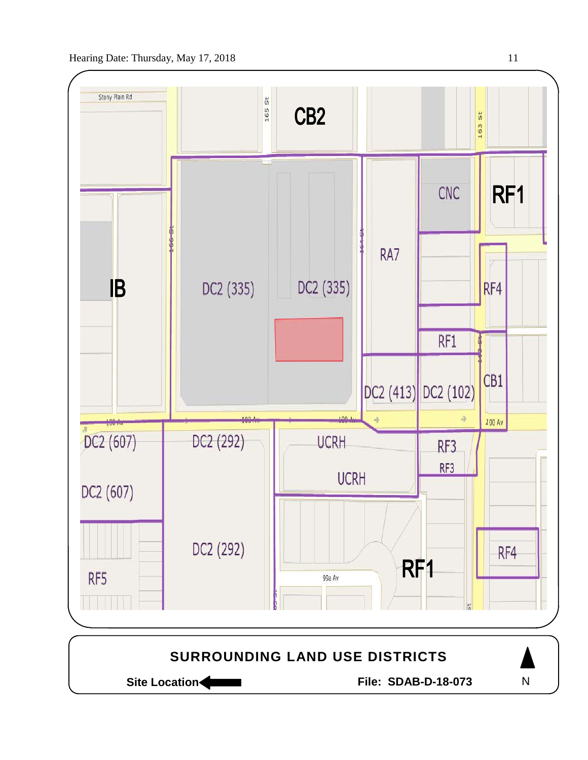



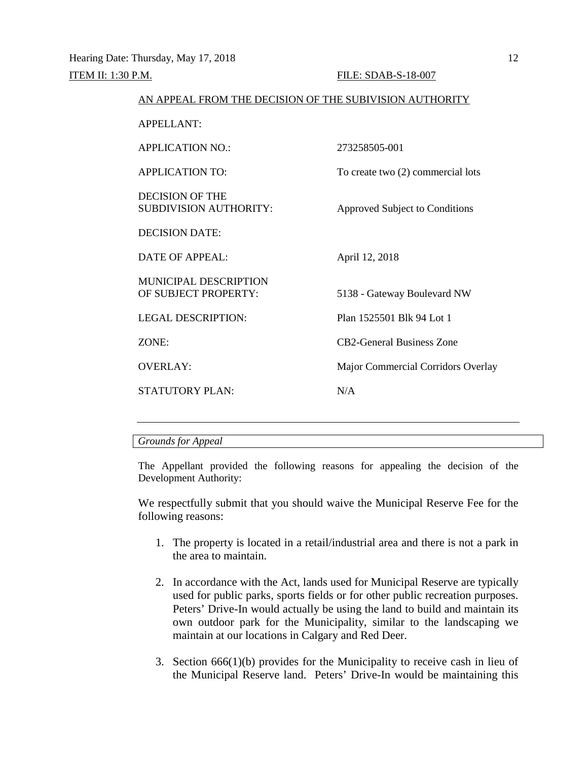| AN APPEAL FROM THE DECISION OF THE SUBIVISION AUTHORITY |                                    |  |
|---------------------------------------------------------|------------------------------------|--|
| <b>APPELLANT:</b>                                       |                                    |  |
| <b>APPLICATION NO.:</b>                                 | 273258505-001                      |  |
| <b>APPLICATION TO:</b>                                  | To create two (2) commercial lots  |  |
| DECISION OF THE<br><b>SUBDIVISION AUTHORITY:</b>        | Approved Subject to Conditions     |  |
| <b>DECISION DATE:</b>                                   |                                    |  |
| DATE OF APPEAL:                                         | April 12, 2018                     |  |
| <b>MUNICIPAL DESCRIPTION</b><br>OF SUBJECT PROPERTY:    | 5138 - Gateway Boulevard NW        |  |
| LEGAL DESCRIPTION:                                      | Plan 1525501 Blk 94 Lot 1          |  |
| ZONE:                                                   | <b>CB2-General Business Zone</b>   |  |
| <b>OVERLAY:</b>                                         | Major Commercial Corridors Overlay |  |
| <b>STATUTORY PLAN:</b>                                  | N/A                                |  |
|                                                         |                                    |  |

#### *Grounds for Appeal*

The Appellant provided the following reasons for appealing the decision of the Development Authority:

We respectfully submit that you should waive the Municipal Reserve Fee for the following reasons:

- 1. The property is located in a retail/industrial area and there is not a park in the area to maintain.
- 2. In accordance with the Act, lands used for Municipal Reserve are typically used for public parks, sports fields or for other public recreation purposes. Peters' Drive-In would actually be using the land to build and maintain its own outdoor park for the Municipality, similar to the landscaping we maintain at our locations in Calgary and Red Deer.
- 3. Section 666(1)(b) provides for the Municipality to receive cash in lieu of the Municipal Reserve land. Peters' Drive-In would be maintaining this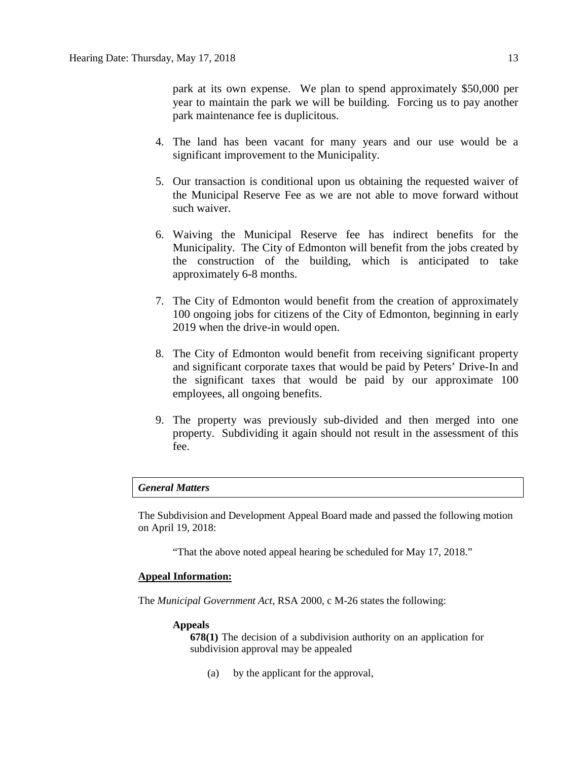park at its own expense. We plan to spend approximately \$50,000 per year to maintain the park we will be building. Forcing us to pay another park maintenance fee is duplicitous.

- 4. The land has been vacant for many years and our use would be a significant improvement to the Municipality.
- 5. Our transaction is conditional upon us obtaining the requested waiver of the Municipal Reserve Fee as we are not able to move forward without such waiver.
- 6. Waiving the Municipal Reserve fee has indirect benefits for the Municipality. The City of Edmonton will benefit from the jobs created by the construction of the building, which is anticipated to take approximately 6-8 months.
- 7. The City of Edmonton would benefit from the creation of approximately 100 ongoing jobs for citizens of the City of Edmonton, beginning in early 2019 when the drive-in would open.
- 8. The City of Edmonton would benefit from receiving significant property and significant corporate taxes that would be paid by Peters' Drive-In and the significant taxes that would be paid by our approximate 100 employees, all ongoing benefits.
- 9. The property was previously sub-divided and then merged into one property. Subdividing it again should not result in the assessment of this fee.

## *General Matters*

The Subdivision and Development Appeal Board made and passed the following motion on April 19, 2018:

"That the above noted appeal hearing be scheduled for May 17, 2018."

## **Appeal Information:**

The *Municipal Government Act*, RSA 2000, c M-26 states the following:

#### **Appeals**

**678(1)** The decision of a subdivision authority on an application for subdivision approval may be appealed

(a) by the applicant for the approval,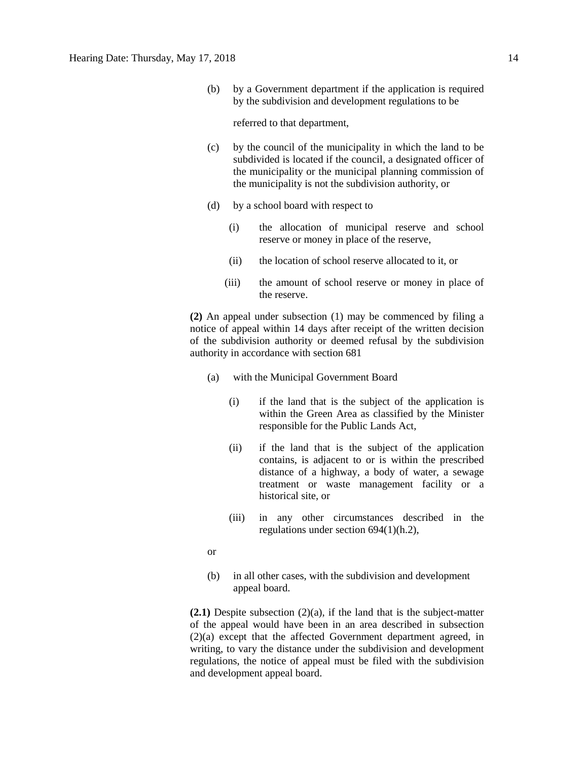(b) by a Government department if the application is required by the subdivision and development regulations to be

referred to that department,

- (c) by the council of the municipality in which the land to be subdivided is located if the council, a designated officer of the municipality or the municipal planning commission of the municipality is not the subdivision authority, or
- (d) by a school board with respect to
	- (i) the allocation of municipal reserve and school reserve or money in place of the reserve,
	- (ii) the location of school reserve allocated to it, or
	- (iii) the amount of school reserve or money in place of the reserve.

**(2)** An appeal under subsection (1) may be commenced by filing a notice of appeal within 14 days after receipt of the written decision of the subdivision authority or deemed refusal by the subdivision authority in accordance with section 681

- (a) with the Municipal Government Board
	- (i) if the land that is the subject of the application is within the Green Area as classified by the Minister responsible for the Public Lands Act,
	- (ii) if the land that is the subject of the application contains, is adjacent to or is within the prescribed distance of a highway, a body of water, a sewage treatment or waste management facility or a historical site, or
	- (iii) in any other circumstances described in the regulations under section 694(1)(h.2),

or

(b) in all other cases, with the subdivision and development appeal board.

**(2.1)** Despite subsection (2)(a), if the land that is the subject-matter of the appeal would have been in an area described in subsection (2)(a) except that the affected Government department agreed, in writing, to vary the distance under the subdivision and development regulations, the notice of appeal must be filed with the subdivision and development appeal board.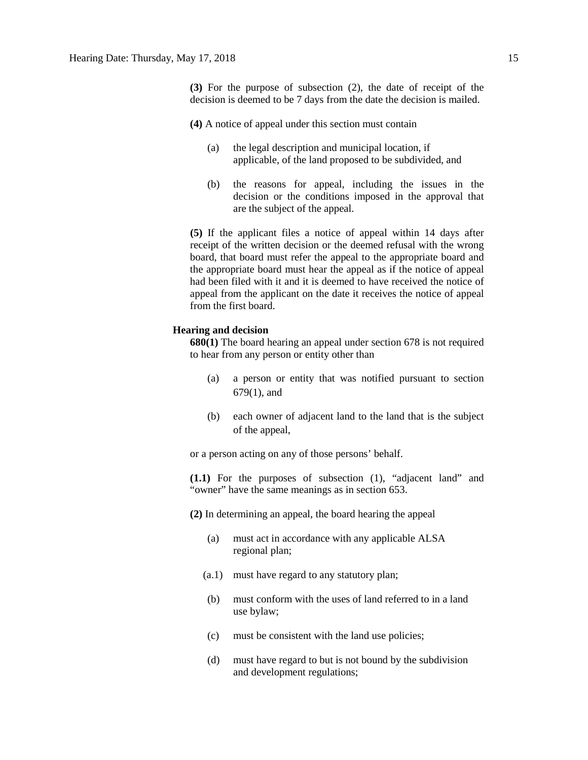**(4)** A notice of appeal under this section must contain

- (a) the legal description and municipal location, if applicable, of the land proposed to be subdivided, and
- (b) the reasons for appeal, including the issues in the decision or the conditions imposed in the approval that are the subject of the appeal.

**(5)** If the applicant files a notice of appeal within 14 days after receipt of the written decision or the deemed refusal with the wrong board, that board must refer the appeal to the appropriate board and the appropriate board must hear the appeal as if the notice of appeal had been filed with it and it is deemed to have received the notice of appeal from the applicant on the date it receives the notice of appeal from the first board.

#### **Hearing and decision**

**680(1)** The board hearing an appeal under section 678 is not required to hear from any person or entity other than

- (a) a person or entity that was notified pursuant to section 679(1), and
- (b) each owner of adjacent land to the land that is the subject of the appeal,

or a person acting on any of those persons' behalf.

**(1.1)** For the purposes of subsection (1), "adjacent land" and "owner" have the same meanings as in section 653.

**(2)** In determining an appeal, the board hearing the appeal

- (a) must act in accordance with any applicable ALSA regional plan;
- (a.1) must have regard to any statutory plan;
- (b) must conform with the uses of land referred to in a land use bylaw;
- (c) must be consistent with the land use policies;
- (d) must have regard to but is not bound by the subdivision and development regulations;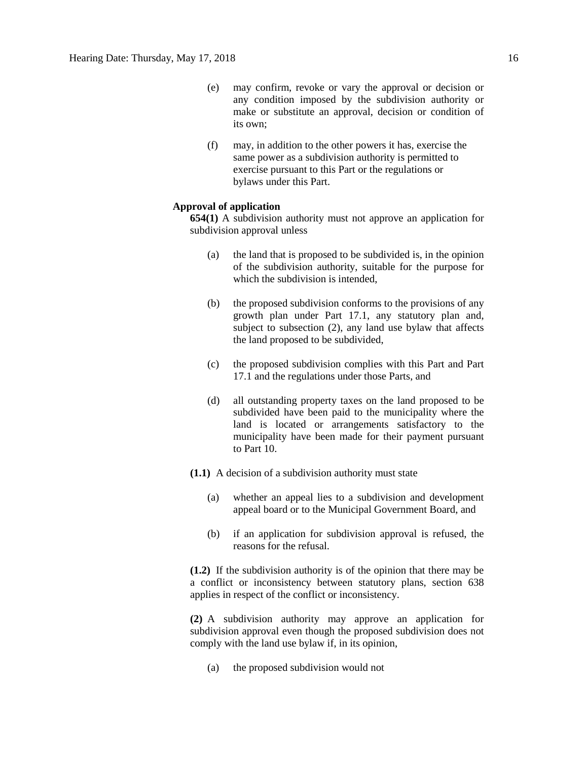- (e) may confirm, revoke or vary the approval or decision or any condition imposed by the subdivision authority or make or substitute an approval, decision or condition of its own;
- (f) may, in addition to the other powers it has, exercise the same power as a subdivision authority is permitted to exercise pursuant to this Part or the regulations or bylaws under this Part.

#### **Approval of application**

**654(1)** A subdivision authority must not approve an application for subdivision approval unless

- (a) the land that is proposed to be subdivided is, in the opinion of the subdivision authority, suitable for the purpose for which the subdivision is intended.
- (b) the proposed subdivision conforms to the provisions of any growth plan under Part 17.1, any statutory plan and, subject to subsection (2), any land use bylaw that affects the land proposed to be subdivided,
- (c) the proposed subdivision complies with this Part and Part 17.1 and the regulations under those Parts, and
- (d) all outstanding property taxes on the land proposed to be subdivided have been paid to the municipality where the land is located or arrangements satisfactory to the municipality have been made for their payment pursuant to Part 10.
- **(1.1)** A decision of a subdivision authority must state
	- (a) whether an appeal lies to a subdivision and development appeal board or to the Municipal Government Board, and
	- (b) if an application for subdivision approval is refused, the reasons for the refusal.

**(1.2)** If the subdivision authority is of the opinion that there may be a conflict or inconsistency between statutory plans, section 638 applies in respect of the conflict or inconsistency.

**(2)** A subdivision authority may approve an application for subdivision approval even though the proposed subdivision does not comply with the land use bylaw if, in its opinion,

(a) the proposed subdivision would not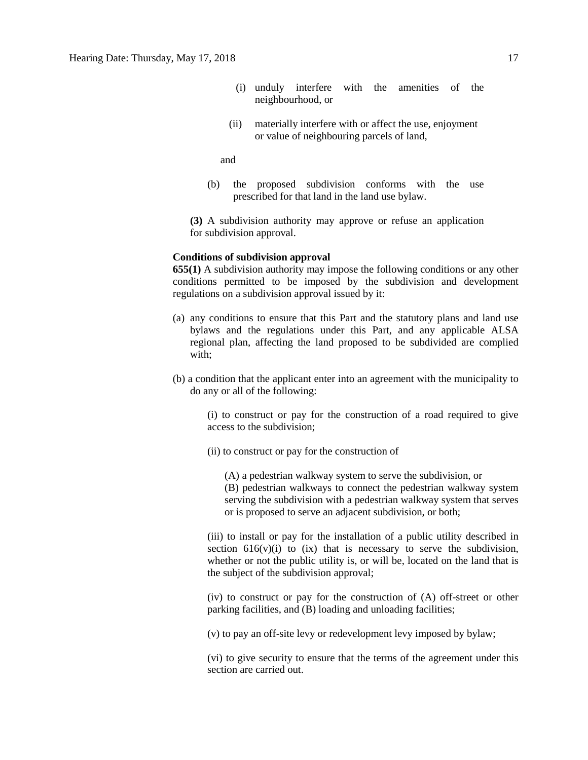- (i) unduly interfere with the amenities of the neighbourhood, or
- (ii) materially interfere with or affect the use, enjoyment or value of neighbouring parcels of land,

and

(b) the proposed subdivision conforms with the use prescribed for that land in the land use bylaw.

**(3)** A subdivision authority may approve or refuse an application for subdivision approval.

#### **Conditions of subdivision approval**

**655(1)** A subdivision authority may impose the following conditions or any other conditions permitted to be imposed by the subdivision and development regulations on a subdivision approval issued by it:

- (a) any conditions to ensure that this Part and the statutory plans and land use bylaws and the regulations under this Part, and any applicable ALSA regional plan, affecting the land proposed to be subdivided are complied with;
- (b) a condition that the applicant enter into an agreement with the municipality to do any or all of the following:

(i) to construct or pay for the construction of a road required to give access to the subdivision;

(ii) to construct or pay for the construction of

(A) a pedestrian walkway system to serve the subdivision, or (B) pedestrian walkways to connect the pedestrian walkway system serving the subdivision with a pedestrian walkway system that serves or is proposed to serve an adjacent subdivision, or both;

(iii) to install or pay for the installation of a public utility described in section  $616(v)(i)$  to  $(ix)$  that is necessary to serve the subdivision, whether or not the public utility is, or will be, located on the land that is the subject of the subdivision approval;

(iv) to construct or pay for the construction of (A) off-street or other parking facilities, and (B) loading and unloading facilities;

(v) to pay an off-site levy or redevelopment levy imposed by bylaw;

(vi) to give security to ensure that the terms of the agreement under this section are carried out.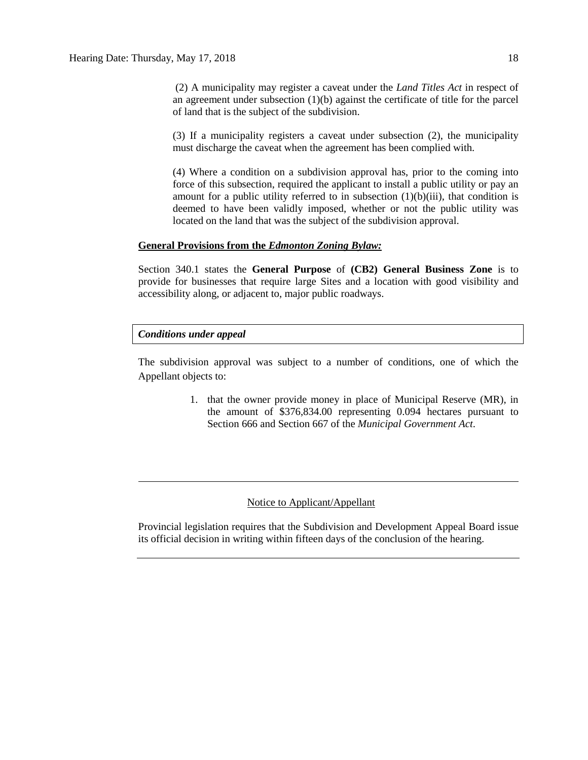(2) A municipality may register a caveat under the *Land Titles Act* in respect of an agreement under subsection (1)(b) against the certificate of title for the parcel of land that is the subject of the subdivision.

(3) If a municipality registers a caveat under subsection (2), the municipality must discharge the caveat when the agreement has been complied with.

(4) Where a condition on a subdivision approval has, prior to the coming into force of this subsection, required the applicant to install a public utility or pay an amount for a public utility referred to in subsection  $(1)(b)(iii)$ , that condition is deemed to have been validly imposed, whether or not the public utility was located on the land that was the subject of the subdivision approval.

#### **General Provisions from the** *Edmonton Zoning Bylaw:*

Section 340.1 states the **General Purpose** of **(CB2) General Business Zone** is to provide for businesses that require large Sites and a location with good visibility and accessibility along, or adjacent to, major public roadways.

## *Conditions under appeal*

The subdivision approval was subject to a number of conditions, one of which the Appellant objects to:

> 1. that the owner provide money in place of Municipal Reserve (MR), in the amount of \$376,834.00 representing 0.094 hectares pursuant to Section 666 and Section 667 of the *Municipal Government Act*.

## Notice to Applicant/Appellant

Provincial legislation requires that the Subdivision and Development Appeal Board issue its official decision in writing within fifteen days of the conclusion of the hearing.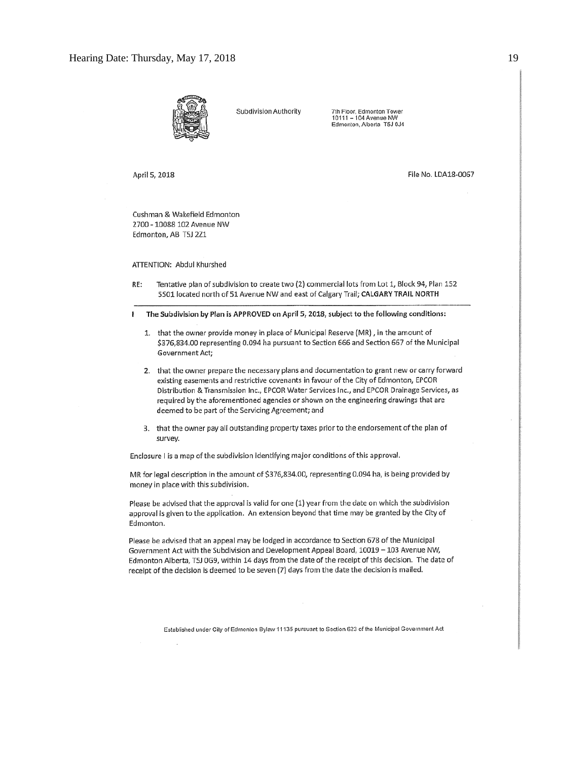

Subdivision Authority

7th Floor, Edmonton Tower 10111 - 104 Avenue NW<br>Edmonton, Alberta T5J 0J4

April 5, 2018

File No. LDA18-0067

Cushman & Wakefield Edmonton 2700 - 10088 102 Avenue NW Edmonton, AB T5J 2Z1

ATTENTION: Abdul Khurshed

RE: Tentative plan of subdivision to create two (2) commercial lots from Lot 1, Block 94, Plan 152 5501 located north of 51 Avenue NW and east of Calgary Trail; CALGARY TRAIL NORTH

The Subdivision by Plan is APPROVED on April 5, 2018, subject to the following conditions: ı

- 1. that the owner provide money in place of Municipal Reserve (MR), in the amount of \$376,834.00 representing 0.094 ha pursuant to Section 666 and Section 667 of the Municipal Government Act;
- 2. that the owner prepare the necessary plans and documentation to grant new or carry forward existing easements and restrictive covenants in favour of the City of Edmonton, EPCOR Distribution & Transmission Inc., EPCOR Water Services Inc., and EPCOR Drainage Services, as required by the aforementioned agencies or shown on the engineering drawings that are deemed to be part of the Servicing Agreement; and
- 3. that the owner pay all outstanding property taxes prior to the endorsement of the plan of survey.

Enclosure I is a map of the subdivision identifying major conditions of this approval.

MR for legal description in the amount of \$376,834.00, representing 0.094 ha, is being provided by money in place with this subdivision.

Please be advised that the approval is valid for one (1) year from the date on which the subdivision approval is given to the application. An extension beyond that time may be granted by the City of Edmonton.

Please be advised that an appeal may be lodged in accordance to Section 678 of the Municipal Government Act with the Subdivision and Development Appeal Board, 10019 - 103 Avenue NW, Edmonton Alberta, T5J 0G9, within 14 days from the date of the receipt of this decision. The date of receipt of the decision is deemed to be seven (7) days from the date the decision is mailed.

Established under City of Edmonton Bylaw 11135 pursuant to Section 623 of the Municipal Government Act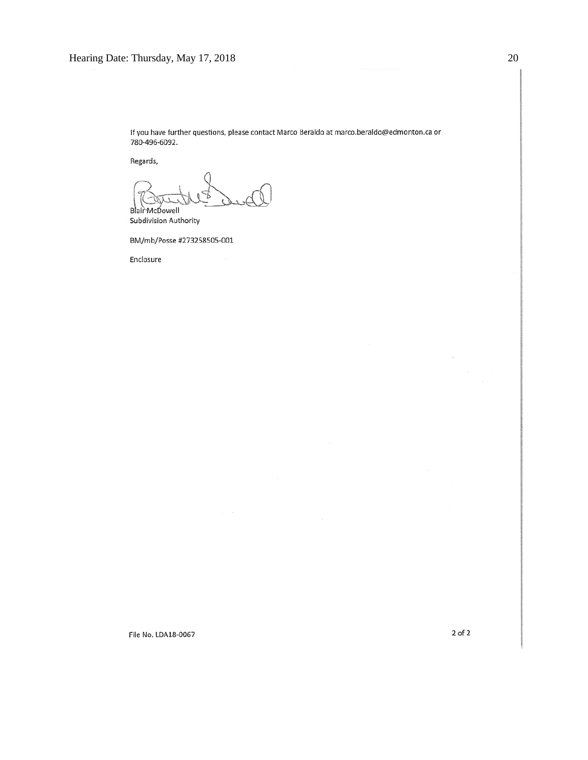If you have further questions, please contact Marco Beraldo at marco.beraldo@edmonton.ca or 780-496-6092.

Regards,

Blair McDowell Subdivision Authority

BM/mb/Posse #273258505-001

Enclosure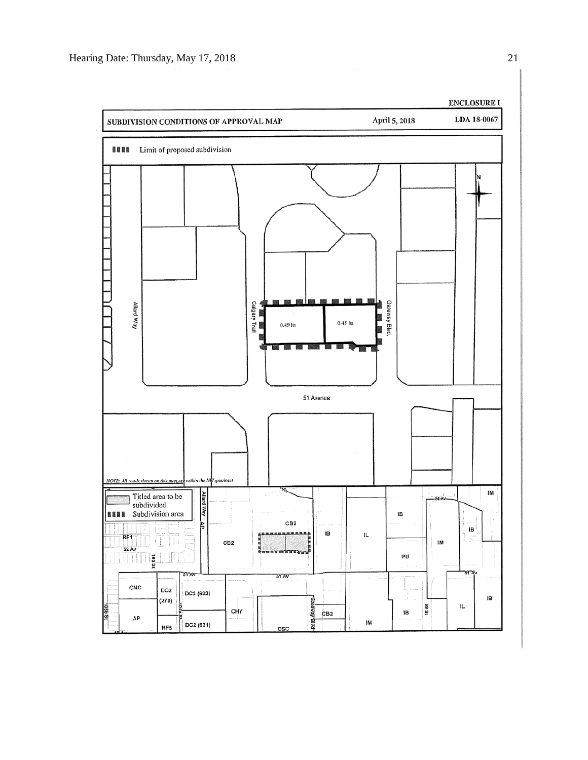